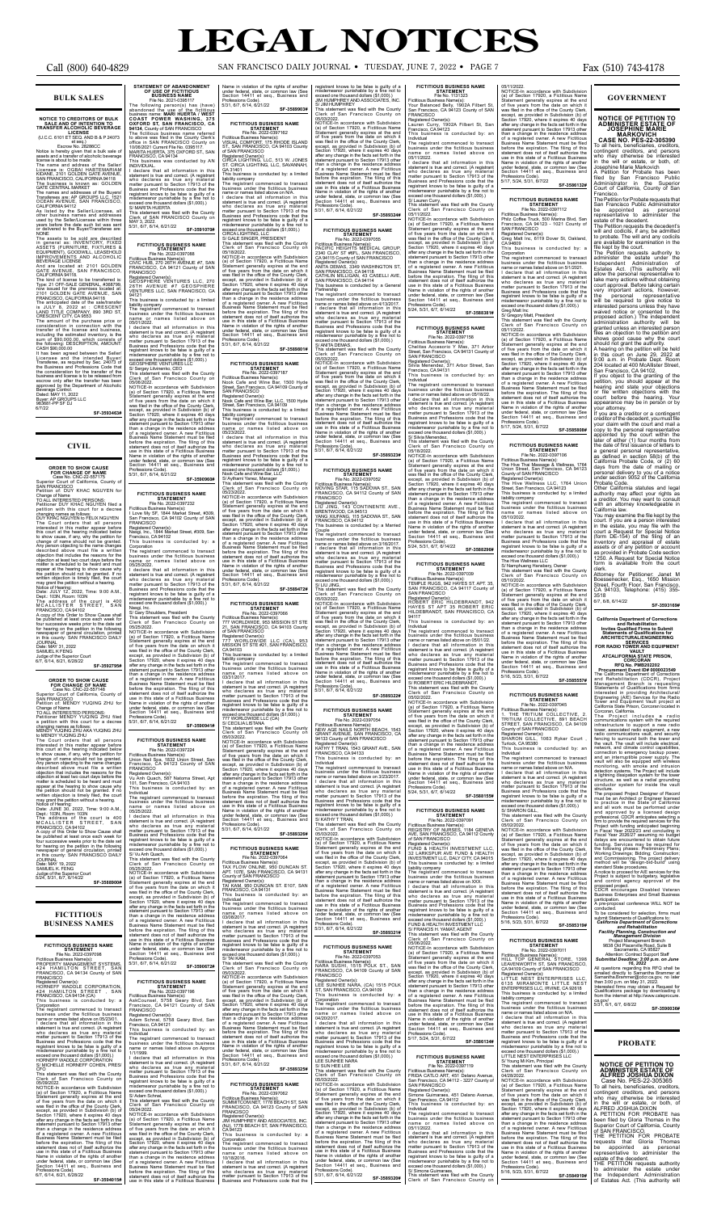### **BULK SALES**

## **NOTICE TO CREDITORS OF BULK SALE AND OF INTENTION TO TRANSFER ALCOHOLIC BEVERAGE LICENSE** (U.C.C. 6101 ET SEQ. AND B & P 24073

escrow No. 28286CC<br>
Escrow No. 28286CC<br>
assets and a transfer of alcoholic beverage<br>
license is about to be made:<br>
The name and address of the Seller/<br>
The name and address of the Seller/<br>
Licensee is: OGBAI HABTEMARIAM<br>
K

in general as: INVENTORY, FIXED<br>ASSETS (FURNITURE, FIXTURES &<br>GOUIPMENT), GOODWILL, LEASEHOLD<br>IMPROVEMENTS AND ALCOHOLIC<br>BEVERAGE LICENSE<br>ASTE AND ALCOHOLIC BEVERAGE LICENSE<br>And are located at: 2101 GOLDEN<br>GATE AVENUE, SAN approved by the Department of Alcoholic Beverage Control. Dated: MAY 11, 2022 Buyer: AP GROUPS LLC 983681-PP SF DJ 6/7/22

**SF-3593463#**

### **CIVIL**

**CREAT TO SHOW CAUSE**<br>
Case No. CNC-22-557175<br>
Case No. CNC-22-557175<br>
Superior Court of California, County of<br>
SAN FRANCISCO<br>
Petition of: DUY KHAC NGUYEN for<br>
Petition of: DUY KHAC NGUYEN for<br>
Petition of: DUY KHAC NGUYE

Dept.:103N,Room:103N<br>The address of the court is 400<br>MCALLISTER STREET, SAN FRANCISCO, CA 94102<br>A copy of this Order to Show Cause shall<br>be published at least once each week for<br>four successive weeks prior to the date set<br>for hearing on the petition in the following<br>newspaper of general circulatio JOURNAL Date: MAY 19, 2022 SAMUEL K. FENG

Corporation The registrant commenced to transact<br>business under the fictitious business<br>character that all information in this<br>statement is true and correct. (A registrant<br>statement is true and correct. (A registrant<br>matter pursuant t

Clerk of San Francisco County of 05/09/2022.<br>NOTICE-In accordance with Subdivision<br>(a) of Section 17920, a Fictitious Nam<br>(a) of Section 17920, a Fictitious Nam (a) of Section 17920, a Fictitious Name<br>Statement generally expires at the end<br>of five years from the date on which it<br>was field in the office of the County Clerk,<br>except, as provided in Subdivision (b) of<br>Section 17920, w Professions Code).<br>6/7, 6/14, 6/21, 6/28/22

JOURNAL Date: MAY 31, 2022 SAMUEL K FENG Judge of the Superior Court 6/7, 6/14, 6/21, 6/28/22 **SF-3592795#**

**ORDER TO SHOW CAUSE FOR CHANGE OF NAME**

Case No. CNC-22-557148 Superior Court of California, County of SAN FRANCISCO

Petition of: MENDY YUQING ZHU for

Change of Name TO ALL INTERESTED PERSONS:

Petitioner MENDY YUQING ZHU filed a petition with this court for a decree changing names as follows: MENDY YUQING ZHU AKA YUQING ZHU

to MENDY YUQING ZHU<br>The Court orders that all persons<br>interested in this matter appear before<br>this court at the hearing indicated below<br>to show cause, if any, why the petition for<br>change of name should not be granted.<br>Any matter is scheduled to be heard and must<br>appear at the hearing to show cause why<br>the petition should not be granted. If no<br>written objection is timely filed, the court<br>may grant the petition without a hearing.<br>Notice of He

5/31, 6/7, 6/14, 6/21/22 **SF-3591070# FICTITIOUS BUSINESS NAME<br>STATEMENT STATEMENT**<br>File No. 2022-0397088<br>Fictitious Business Name(s):<br>CIVIC HUB, 270 26TH AVENUE #7, SAN<br>FRANCISCO, CA 94121 County of SAN

GA 31401<br>The registrant commenced to transact<br>This business is conducted by: a limited<br>liability company<br>commenced to transact<br>the initiality company<br>commence of the fictitious business<br>business under the fictitious busine

Judge of the Superior Court 5/24, 5/31, 6/7, 6/14/22

**SF-3588900#**

### **FICTITIOUS BUSINESS NAMES**

FICTITIOUS BUSINESS<br>
File No. 2022-0397098<br>
File No. 2022-0397098<br>
From File No. 2022-0397098<br>
PROPERTY MANAGEMENT SYSTEMS,<br>
424 HAMILLTON STREET, SAN<br>
FRANCISCO, CA 94134 County of SAN<br>
FRANCISCO<br>
HORNEFF WADDLE CORPORATI

This business is conducted by: a

**STATEMENT<br>File No. 2022-0397224<br>Fictitious Business Name(s):<br>Union Nail Spa, 1832 Union Street, San** Francisco, CA 94123 County of SAN FRANCISCO Registered Owner(s): Vu Anh Quach, 587 Natoma Street, Apt

05/25/2022<br>
MOTICE-In accordance with Subdivision<br>
NOTICE-In accordance with Subdivision<br>
Statement generally expires at the end<br>
Statement generally expired of the County Clerk,<br>
except, as provided in Subdivision (b) of<br> before the expiration. The filing of this statement does not of itself authorize the use in this state of a Fictitious Business Name in violation of the rights of another under federal, state, or common law (See Section 14411 et seq., Business and

**SF-3594015#**

misdemeanor punishable by a fine no<br>exceed one thousand dollars (\$1,000).)<br>S/ Adam Schnal, S/ Adam Schnal, This statement was filed with the County Clerk of San Francisco County on

05/24/2022.<br>NOTICE-In accordance with Subdivision NOTICE-In accordance with Subdivision (a) of Section 17920, a Fictitious Name Statement generally expires at the end of five years from the date on which it was filed in the office of the County Clerk, except, as provided in Subdivision (b) of Section 17920, where it expires 40 days after any change in the facts set forth in the statement pursuant to Section 17913 other than a change in the residence address of a registered owner. A new Fictitious Business Name Statement must be filed

**STATEMENT OF ABANDONMENT**<br> **OF USE OF FICTITIOUS**<br> **OF USE OF FICTITIOUS**<br>
File No. 2021-0395117<br>
The following person(s) has (have)<br>
abandond the use of the fictitious<br>
business name **MARI HUERTA / WEST**<br>
COAST POWER WAS Name in violation of the rights of another under federal, state, or common law (See Section 14411 et seq., Business and Professions Code). 5/31, 6/7, 6/14, 6/21/22 **SF-3589903#**

FRANCISCO<br>Registered Owner(s):

who declares as true any material matter pursuant to Section 17913 of the

Business and Professions code that the registrant knows to be false is guilty of a misdemeanor punishable by a fine not to exceed one thousand dollars (\$1,000).) S/ MARITA HUERTA S/ MARITA HUERTA<br>This statement was filed with the County Clerk of SAN FRANCISCO County on MAY 3, 2022.

Registered Owner(s): GEOSPHERE VENTURES LLC, 270 26TH AVENUE #7 GEOSPHERE VENTURES LLC, SAN FRANCISCO, CA 94121 This business is conducted by: a limited

liability company The registrant commenced to transact business under the fictitious business name or names listed above on 05/01/2022.

I declare that all information in this<br>statement is twe and correct. (A registrant<br>who declares as true any material<br>matter pursuant to Section 17913 of the<br>Business and Professions code that the<br>registrant knows to be fal **SIAIEMENI<br>File No. 2022-0397187** Fictitious Business Name(s): Nook Cafe and Wine Bar, 1500 Hyde Street, San Francisco, CA 94109 County of

NOTICE-In accordance with Subdivision (a) of Section 17920, a Ficilitious Name<br>Statement generally expires at the end<br>of five years from the date on which it<br>was field in the office of the County Clerk,<br>except, as provided SAN FRANCISCO Registered Owner(s): Nook Cafe and Wine Bar, LLC, 1500 Hyde Street, San Francisco, CA 94109 This business is conducted by: a limited

05/23/2022.<br>I declare that all information in this statement is true and correct. (A registrant who declares as true any material matter pursuant to Section 17913 of the Business and Professions code that the registrant knows to be false is guilty of a misdemeanor punishable by a fine not to

**STATEMENT<br>File No. 2022-0397232<br>Fictitious Business Name(s):<br>I Love My SF, 1844 Market Street, #309,** S/ Aythami Yanez, Manager This statement was filed with the County Clerk of San Francisco County on 05/23/2022. NOTICE-In accordance with Subdivision (a) of Section 17920, a Fictitious Name

Statement generally expires at the end<br>of five years from the date on which it<br>was filed in the office of the County Clerk,<br>except, as provided in Subdivision (b) of<br>Section 17920, where it expires 40 days<br>after any change than a change in the residence address<br>of a registered owner. A new Fictitious<br>Business Name Statement must be filed<br>before the expiration. The filing of this<br>statement does not of itself authorize the<br>use in this state of Name in violation of the rights of another under federal, state, or common law (See Section 14411 et seq., Business and

Statement generally expires at the end<br>of five years from the date on which it<br>was filed in the office of the County Clerk,<br>except, as provided in Subdivision (b) of CA 94103 This business is conducted by: a limited

> I declare that all information in this ement is true and correct. (A re

**FICTITIOUS BUSINESS NAME** 

San Francisco, CA 94102 County of SAN

Registered Owner(s): Nasgi, Inc., 1844 Market Street, #309, San Francisco, CA 94102 This business is conducted by: a Corporation The registrant commenced to transact business under the fictitious business name or names listed above on 05/25/2022. I declare that all information in this statement is true and correct. (A registrant who declares as true any material matter pursuant to Section 17913 of the

> 3/08/2017.<br>I declare that all information in this statement is true and correct. (A registrant who declares as true any material matter pursuant to Section 17913 of the

Business and Professions code that the registrant knows to be false is guilty of a misdemeanor punishable by a fine not to exceed one thousand dollars (\$1,000).)

FRANCISCO

**FICTITIOUS BUSINESS NAME<br>File No. 2022-0397162<br>Fictitious Business Name(s):<br>VISUAL COMFORT, 175 RHODE ISLAND<br>ST., SAN FRANCISCO, CA 94103 County<br>of SAN FRANCISCO** 

This statement was filed with the County Clerk of San Francisco County on 05/03/2022 ათათვადა.<br>NOTICE-In accordance with Subdivisior<br>(a) of Section 17920. a Fictitious Nam

(a) of Section 17920, a Fictitious Name<br>Statement generally expires at the end<br>of five years from the date on which it<br>was filed in the office of the County Clerk,<br>except, as provided in Subdivision (b) of<br>Section 17920, w Name in violation of the rights of another under federal, state, or common law (See Section 14411 et seq., Business and

than a change in the residence address of a registered owner. A new Fictitious Business Name Statement must be filed before the expiration. The filing of this statement does not of itself authorize the use in this state of a Fictitious Business Name in violation of the rights of another under federal, state, or common law (See Section 14411 et seq., Business and Professions Code). 5/31, 6/7, 6/14, 6/21/22 **SF-3590941#**

**FICTITIOUS BUSINESS NAME** 

101, San Francisco, CA 94103 This business is conducted by: an

Individual The registrant commenced to transact business under the fictitious business name or names listed above on

05/25/2022. I declare that all information in this statement is true and correct. (A registrant who declares as true any material matter pursuant to Section 17913 of the Partnership The registrant commenced to transact business under the fictitious business name or names listed above on 4/13/2017. I declare that all information in this statement is true and correct. (A registrant who declares as true any material<br>matter pursuant to Section 17913 of the<br>Business and Professions code that the<br>registrant knows to be false is guilty of a<br>misdemeanor punishable by a fine not to<br>exceed one thousand dolla

Business and Professions code that the registrant knows to be false is guilty of a misdemeanor punishable by a fine not to exceed one thousand dollars (\$1,000).) S/ Vu Anh Quach, This statement was filed with the County Clerk of San Francisco County on

Professions Code). 5/31, 6/7, 6/14, 6/21/22 **SF-3590672#**

### **FICTITIOUS BUSINESS NAME STATEMENT** File No. 2022-0397196

Fictitious Business Name(s): AskCounsel, 5758 Geary Blvd, San

Francisco, CA 94121 County of SAN FRANCISCO Registered Owner(s): Adam Schnal, 5758 Geary Blvd, San Francisco, CA 94121

riancisco, CA 94121<br>This business is conducted by: an<br>Individual

Individual The registrant commenced to transact business under the fictitious business name or names listed above on Approx 1/1/1999.

I declare that all information in this<br>statement is true and correct. (A registrant<br>who declares as true any material<br>matter pursuant to Section 17913 of the<br>Business and Professions code that the<br>registrant knows to be fa

### **FICTITIOUS BUSINESS NAME STATEMENT**<br>File No. 2022-0397054<br>:Fictitious Business Name(s)

NEW AGE NAILS NORTH BEACH, 1543<br>GRANT AVENUE, SAN FRANCISCO, CA<br>94133 County of SAN FRANCISCO<br>Registered Owner(s):<br>KATHY T TRAN, 1543 GRANT AVE., SAN<br>FRANCISCO, CA 94133<br>This business is conducted by: an Individual The registrant commenced to transact

business under the fictitious business name or names listed above on 3/23/2017. I declare that all information in this<br>statement is true and correct. (A registrant<br>who declares as true any material<br>matter pursuant to Section 17913 of the<br>Business and Professions code that the<br>registrant knows to be f

Nasgi, Inc. S/ Gary Shoulders, President This statement was filed with the County Clerk of San Francisco County on 05/25/2022. NOTICE-In accordance with Subdivision (a) of Section 17920, a Fictitious Name Fictitious Business Name(s): 777 WORLDWIDE, 953 MISSION ST STE 21, SAN FRANCISCO, CA 94103 County of SAN FRANCISCO Registered Owner(s): 777 WORLDWIDE LLC (CA), 953 MISSION ST STE #21, SAN FRANCISCO,

before the expiration. The filing of this statement does not of itself authorize the use in this state of a Fictitious Business

Section 17920, where it expires 40 days after any change in the facts set forth in the statement pursuant to Section 17913 other liability company The registrant commenced to transact business under the fictitious business name or names listed above on 03/31/2017.

Registered Owner(s): CIRCA LIGHTING, LLC, 513 W. JONES ST. CIRCA LIGHTING, LLC, SAVANNAH,

I declare that all information in this<br>statement is true and correct. (A registrant<br>who declares as true any material<br>matter pursuant to Section 17913 of the<br>Business and Professions code that the<br>registrant knows to be fa misdemeanor punishable by a fine not to exceed one thousand dollars (\$1,000).) S/ Lauren Curry, This statement was filed with the County

**SF-3589801#**

## **FICTITIOUS BUSINESS NAME STATEMENT**

liability company The registrant commenced to transact business under the fictitious business name or names listed above on 05/23/2022.

exceed one thousand dollars (\$1,000).) Nook Cafe and Wine Bar, LLC

Registered Owner(s): FUND & HEALTH INVESTMENT LLC, .<br>32 LARKSPUR AVE FUND & HEALTH<br>INVESTMENT LLC, DALY CITY, CA 94015 INVESTMENT LLC, DALY CITY, CA 94015<br>This business is conducted by: a limited<br>liability company<br>The registrant commenced to transact<br>business under the fictitious business<br>name or names listed above on XXX.<br>I declare that a

who declares as true any material matter pursuant to Section 17913 of the Business and Professions code that the registrant knows to be false is guilty of a misdemeanor punishable by a fine not to<br>exceed one thousand dollars (\$1,000).)<br>FUND & HEALTH INVESTMENT LLC<br>S/ FRANCIS H. YAMAT, AGENT

**This statement was filed with the County<br>This statement was filed with the County<br>Clerk of San Francisco County on** 



**FICTITIOUS BUSINESS NAME STATEMENT** File No. 2022-0397066

05/11/2022. I declare that all information in this statement is true and correct. (A registrant who declares as true any material<br>matter pursuant to Section 17913 of the matter pursuant to Section 17913 of the Business and Professions code that the registrant knows to be false is guilty of a misdemeanor punishable by a fine not to exceed one thousand dollars (\$1,000).)

who declares as true any material matter pursuant to Section 17913 of the Business and Professions code that the registrant knows to be false is guilty of a misdemeanor punishable by a fine not to

exceed one thousand dollars (\$1,000).) 777 WORLDWIDE LLC (CA) S/ CECILIA LISTANA This statement was filed with the County Clerk of San Francisco County on

**FICTITIOUS BUSINESS NAME STATEMENT** File No. 2022-0397112 Fictitious Business Name(s): Philz Coffee Truck, 500 Marina Blvd, San Francisco, CA 94123 - 1021 County of SAN FRANCISCO Registered Owner(s): Greg Matt Inc, 6119 Dover St, Oakland, CA 94609 This business is conducted by: a Corporation The registrant commenced to transact business under the fictitious business<br>name or names listed above on 5/1/2021.

name or names listed above on 5/1/2021.<br>I declare that all information in this<br>statement is true and correct. (A registrant<br>who declares as true any material<br>matter pursuant to Section 17913 of the<br>Business and Professions

05/03/2022. NOTICE-In accordance with Subdivision (a) of Section 17920, a Fictitious Name Statement generally expires at the end of five years from the date on which it was filed in the office of the County Clerk, except, as provided in Subdivision (b) of Section 17920, where it expires 40 days after any change in the facts set forth in the statement pursuant to Section 17913 other than a change in the residence address of a registered owner. A new Fictitious Business Name Statement must be filed before the expiration. The filing of this statement does not of itself authorize the use in this state of a Fictitious Business Name in violation of the rights of another

under federal, state, or common law (See Section 14411 et seq., Business and Professions Code). 5/31, 6/7, 6/14, 6/21/22 **SF-3589326#**

**FICTITIOUS BUSINEST<br>
STATEMENT<br>
File No. 2022-0397064<br>Fictitious Business Name(s):<br>TAX FLOW ONLINE, 950 DUNCAN ST.<br>APT. 107E, SAN FRANCISCO, CA 94131<br>County of SAN FRANCISCO** 

before the expiration. The filing of this statement does not of itself authorize the use in this state of a Fictitious Business Name in violation of the rights of another<br>under federal state or common law (See

Registered Owner(s): TAI KAM, 950 DUNCAN ST. E107, SAN FRANCISCO, CA 94131 This business is conducted by: an

Individual The registrant commenced to transact business under the fictitious business name or names listed above on 03/08/2017.

Business and Professions code that the registrant knows to be false is guilty of a misdemeanor punishable by a fine not to exceed one thousand dollars (\$1,000).) S/ TAI KAM,

Name in violation of the rights of another under federal, state, or common law (See Section 14411 et seq., Business and

under federal, state, or com-

Individual muiviuuai<br>The registrant commenced to transact

business under the fictitious business name or names listed above on N/A. I declare that all information in this statement is true and correct. (A registrant is two and correct.<br>who declares as true any material<br>matter pursuant to Section 17913 of the<br>Business and Professions code that the<br>registrant knows to be false is guilty of a<br>

05/02/2022. NOTICE-In accordance with Subdivision (a) of Section 17920, a Fictitious Name Statement generally expires at the end of five years from the date on which it was filed in the office of the County Clerk, except, as provided in Subdivision (b) of Section 17920, where it expires 40 days after any change in the facts set forth in the statement pursuant to Section 17913 other fencing to surround both the tower and<br>the vault. The vault will include electrical,<br>network, and climate control capabilities,<br>connection to emergency backup power,<br>and an interruptible power supply. The<br>vault will also b

than a change in the residence address<br>of a registered owner. A new Fictitious<br>Business Name Statement must be filed<br>before the expiration. The filing of this<br>statement does not of itself authorize the<br>use in this state of Name in violation of the rights of another under federal, state, or common law (See Section 14411 et seq., Business and Professions Code). 5/16, 5/23, 5/31, 6/7/22 **SF-3585319#** Business Enterprises and Small Business<br>participation.<br>A pre-proposal conference WILL NOT be<br>conducted.<br>To be considered for selection, firms must<br>submit Statements of Qualifications to: To be considered for selection, firms must<br>submit Statements of Qualifications to:<br>California Department of Corrections<br>Facility Planning, Construction and<br>Project Management Division<br>Project Management Division<br>Project M

**FICTITIOUS BUSINESS NAME**<br>
STATEMENT<br>
File No. 2022-0397011<br>
Fictitious Business Name(s):<br>
HILL TOP GENERAL STORE, 1398<br>
LEAVENWORTH ST, SAN FRANCISCO,<br>CA 94109 County of SAN FRANCISCO

Professions Code). 5/31, 6/7, 6/14, 6/21/22 **SF-3589325#**

**FICTITIOUS BUSINESS NAME<br>
File No. 2022-0397062**<br>Fictitious Business Name(s):<br>
SUMMITCOM.NET, 1778 BEACH ST, SAN<br>
SUMMITCOM.NET, 1778 BEACH ST, SAN<br>FRANCISCO, CA 94123 County of SAN<br>
FRANCISCO

Registered Owner(s): JIM HUMPHREY AND ASSOCIATES, INC. (NJ), 1778 BEACH ST, SAN FRANCISCO, CA 94123 This business is conducted by: a

Corporation The registrant commenced to transact business under the fictitious business name or names listed above on 10/18/2016. I declare that all information in this

Registered Owner(s): LITTLE NEST ENTERPRISES LLC, 6135 MIRAMONTE LITTLE NEST ENTERPRISES LLC, IRVINE, CA 92618 This business is conducted by: a limited liability company The registrant commenced to transact business under the fictitious business name or names listed above on N/A. I declare that all information in this statement is true and correct. (A registrant who declares as true an matter pursuant to Section 17913 of the<br>Business and Professions code that the Business and Professions code that the registrant knows to be false is guilty of a misdemeanor punishable by a fine not to exceed one thousand dollars (\$1,000).) LITTLE NEST ENTERPRISES LLC S/ Young Mi Kim, Principal This statement was filed with the County Clerk of San Francisco County on<br>04/28/2022. 04/28/2022.<br>NOTICE-In accordance with Subdivision<br>(a) of Section 17920, a Fictitious Name<br>Statement generally expires at the end<br>of five years from the date on which it<br>was filed in the office of the County Clerk,

statement is true and correct. (A registrant who declares as true any material matter pursuant to Section 17913 of the Business and Professions code that the

registrant knows to be false is guilty of a misdemeanor punishable by a fine not to exceed one thousand dollars (\$1,000).) JIM HUMPHREY AND ASSOCIATES, INC.

S/ JIM HUMPHREY This statement was filed with the County Clerk of San Francisco County on 05/03/2022.

NOTICE-In accordance with Subdivision<br>(a) of Section 17920, a Ficilitious Name<br>Statement generally expires at the end<br>of five years from the date on which it<br>was filed in the office of the County Clerk,<br>except, as provided

### **SF-3589324#**

## **FICTITIOUS BUSINESS NAME**

**STATEMENT<br>File No. 2022-0397055<br>Fictitious Business Name(s):<br>PACIFIC HEIGHTS MEDICAL GROUP,<br>2340 CLAY ST #6FL, SAN FRANCISCO,<br>CA 94115 County of SAN FRANCISCO** 

Registered Owner(s): ANITA DEMAS, 3349 WASHINGTON ST, SAN FRANCISCO, CA 94118 CATHLIN MILLIGAN, 43 CASELLI AVE, SAN FRANCISCO, CA 94114 This business is conducted by: a General

This statement was filed with the County Clerk of San Francisco County on

05/03/2022. NOTICE-In accordance with Subdivision (a) of Section 17920, a Fictitious Name Statement generally expires at the end<br>of five years from the date on which it<br>was filed in the office of the County Clerk,<br>except, as provided in Subdivision (b) of<br>Section 17920, where it expires 40 days<br>after any change than a change in the residence address of a registered owner. A new Fictitious<br>Business Name Statement must be filed<br>before the expiration. The filing of this<br>statement does not of itself authorize the<br>use in this state of a Fictitious Business Name in violation of the rights of another under federal, state, or common law (See Section 14411 et seq., Business and Professions Code). 5/31, 6/7, 6/14, 6/21/22

**SF-3589323#**

FICTITIOUS BUSINESS<br>
File No. 2022-0397052<br>
Fictitious Business Name(s):<br>
Fictitious Business Name(s):<br>
MOVING STAR, 115 SADOWA ST., SAN<br>
FRANCISCO, CA 94112 County of SAN<br>
FRANCISCO, CA 94513<br>
LIU JING, 143 CONTINENTE AVE

The registrant commenced to transact<br>the field transpace of the missale business<br>shames or mentions business<br>amene or names listed above on 3/16/2017.<br>I declare that all information in this whom<br>declares as true and orrect

**SF-3589322#**

This statement was filed with the County Clerk of San Francisco County on 05/03/2022. NOTICE-In accordance with Subdivision

(a) of Section 17920, a Fictitious Name Statement generally expires at the end of five years from the date on which it was filed in the office of the County Clerk,<br>except, as provided in Subdivision (b) of<br>Section 17920, where it expires 40 days<br>after any change in the facts set forth in the<br>statement pursuant to Section 17913 other<br>than a under federal, state, or common law (See Section 14411 et seq., Business and

Professions Code). 5/31, 6/7, 6/14, 6/21/22 **SF-3589321#**

**FICTITIOUS BUSINESS NAME**<br>
File No. 2022-0397053<br>Fictitious Business Name(s):<br>
NARA SUSHI, 1515 POLK ST., SAN<br>
FRANCISCO, CA 94109 County of SAN<br>
FRANCISCO<br>
Registered Owner(s):

LEE SUNHEE NARA, (CA) 1515 POLK ST, SAN FRANCISCO, CA 94109 This business is conducted by: a

Corporation The registrant commenced to transact business under the fictitious business name or names listed above on

04/20/2017.<br>04/20/2017.<br>I declare that all information in this I declare that all information in this<br>statement is true and correct. (A registrant<br>who declares as true any material<br>matter pursuant to Section 17913 of the<br>Business and Professions code that the<br>registrant knows to be fa

misdemeanor punishable by a fine not to exceed one thousand dollars (\$1,000).) LEE SUNHEE NARA

S/ SUN HEE LEE This statement was filed with the County Clerk of San Francisco County on

05/03/2022. NOTICE-In accordance with Subdivision (a) of Section 17920, a Fictitious Name Statement generally expires at the end of five years from the date on which it was filed in the office of the County Clerk, except, as provided in Subdivision (b) of Section 17920, where it expires 40 days after any change in the facts set forth in the statement pursuant to Section 17913 other than a change in the residence address of a registered owner. A new Fictitious Business Name Statement must be filed before the expiration. The filing of this statement does not of itself authorize the use in this state of a Fictitious Business Name in violation of the rights of another under federal, state, or common law (See Section 14411 et seq., Business and Professions Code). 5/31, 6/7, 6/14, 6/21/22 **SF-3589320#**

The registrant commenced to transact business under the fictitious business name or names listed above on 05/11/2022.

Clerk of San Francisco County on

05/11/2022. NOTICE-In accordance with Subdivision (a) of Section 17920, a Fictitious Name Statement generally expires at the end<br>of five years from the date on which it<br>was filed in the office of the County Clerk,<br>except, as provided in Subdivision (b) of<br>Section 17920, where it expires 40 days<br>after any change than a change in the residence address of a registered owner. A new Fictitious Business Name Statement must be filed before the expiration. The filing of this statement does not of itself authorize the use in this state of a Fictitious Business Name in violation of the rights of another under federal, state, or common law (See Section 14411 et seq., Business and Professions Code). 5/24, 5/31, 6/7, 6/14/22 **SF-3588381#**

**FICTITIOUS BUSINESS NAME**<br> **STATEMENT**<br>
File No. 2022-0397158<br>Fictitious Business Name(s):<br>Chelitas Accesorio Y Mas, 371 Arbor<br>
Street, San Francisco, CA 94131 County of<br>
SAN FRANCISCO

Registered Owner(s): Silvia Menendez, 371 Arbor Street, San Francisco, CA 94131

This business is conducted by: an Individual

The registrant commenced to transact business under the fictitious business name or names listed above on 05/18/22. I declare that all information in this statement is true and correct. (A registrant who declares as true any material matter pursuant to Section 17913 of the Business and Professions code that the registrant knows to be false is guilty of a misdemeanor punishable by a fine not to exceed one thousand dollars (\$1,000).)

S/ Silvia Menendez, This statement was filed with the County Clerk of San Francisco County on

05/18/2022.<br>NOTICE-In accordance with Subdivision<br>Na) of Section 17920, a Fictitious Name<br>Statement generally expires at the end<br>of five years from the date on which it<br>was filed in the office of the County Clerk,<br>except, statement pursuant to Section 17913 other than a change in the residence address of a registered owner. A new Fictitious Business Name Statement must be filed before the expiration. The filing of this statement does not of itself authorize the use in this state of a Fictitious Business Name in violation of the rights of another under federal, state, or common law (See Section 14411 et seq., Business and **STATEMENT STATEMENT STATEMENT STATEMENT STATEMENT**<br>
File No. 2022-0397106<br>
Fictitious Business Name(s):<br>
The Hive Thai Massage & Wellness, 1764<br>
Union Street, San Francisco, CA 94123<br>
County of SAN FRANCISCO Registered Owner(s): The Hive Wellness LLC, 1764 Union Street, San Francisco, CA 94123 This business is conducted by: a limited iability company The registrant commenced to transact business under the fictitious business name or names listed above on 05/10/2022. I declare that all information in this statement is true and correct. (A registrant<br>who declares as true any material<br>matter pursuant to Section 17913 of the<br>Business and Professions code that the<br>registrant knows to be false is guilty of a

Professions Code). 5/24, 5/31, 6/7, 6/14/22 **SF-3588296#**

## **FICTITIOUS BUSINESS NAME STATEMENT** File No. 2022-0397039

Fictitious Business Name(s): TEMPLE RUGS, 942 HAYES ST. APT. 35, SAN FRANCISCO, CA 94117 County of SAN FRANCISCO Registered Owner(s): ROBERT ERIC HILDEBRANDT, 942 HAYES ST APT 35 ROBERT ERIC HILDEBRANDT, SAN FRANCISCO, CA

94117 This business is conducted by: an

Individual The registrant commenced to transact business under the fictitious business name or names listed above on 05/01/22. I declare that all information in this statement is true and correct. (A registrant who declares as true any material matter pursuant to Section 17913 of the Business and Professions code that the registrant knows to be false is guilty of a misdemeanor punishable by a fine not to exceed one thousand dollars (\$1,000).)

S/ ROBERT ERIC HILDEBRANDT,

**FICTITIOUS BUSINESS NAME**<br>
STATEMENT<br>
File No. 1131323<br>
Fictitious Business Name(s):<br>Your Balanced Belly, 1902A Filbert St,<br>
San Francisco, CA 94123 County of SAN<br>
FRANCISCO

Registered Owner(s): Lauren Curry, 1902A Filbert St, San Francisco, CA 94123 This business is conducted by: an Individual 05/11/2022.<br>NOTICE-In accordance with Subdivision<br>(a) of Section 17920, a Fictitious Name<br>Statement generally expires at the end<br>of five years from the date on which it<br>was filed in the office of the County Clerk,<br>was fiel than a change in the residence address of a registered owner. A new Fictitious Business Name Statement must be filed

before the expiration. The filing of this<br>statement does not of itself authorize the<br>use in this state of a Fictitious Business<br>Name in violation of the rights of another<br>under federal, state, or common law (See<br>Section 14

This statement was filed with the County Clerk of San Francisco County on

05/02/2022.<br>NOTICE-In accordance with Subdivision<br>(a) of Section 17920, a Fictitious Name<br>Statement generally expires at the end<br>of five years from the date on which it was filed in the office of the County Clerk, except, as provided in Subdivision (b) of Section 17920, where it expires 40 days after any change in the facts set forth in the statement pursuant to Section 17913 other<br>than a change in the residence address<br>of a registered owner. A new Fictitious Business Name Statement must be filed<br>before the expiration. The filing of this<br>statement does not of itself authorize the<br>use in this state of a Fictitious Business<br>Name in violation of the rights of another<br>under federal

Professions Code). 5/24, 5/31, 6/7, 6/14/22 **SF-3588155#**

## **FICTITIOUS BUSINESS NAME STATEMENT** File No. 2022-0397091

Fictitious Business Name(s): REGISTRY OF NURSES, 1184 GENEVA AVE, SAN FRANCISCO, CA 94112 County of SAN FRANCISCO

Clerk of San Francisco County on 05/06/2022. NOTICE-In accordance with Subdivision (a) of Section 17920, a Fictitious Name Statement generally expires at the end of five years from the date on which it was filed in the office of the County Clerk,<br>except, as provided in Subdivision (b) of<br>Section 17920, where it expires 40 days<br>after any change in the facts set forth in the<br>statement pursuant to Section 17913 other<br>than a before the expiration. The filing of this<br>statement does not of itself authorize the<br>use in this state of a Fictitious Business<br>Name in violation of the rights of another under federal, state, or common law (See Section 14411 et seq., Business and Professions Code). 5/17, 5/24, 5/31, 6/7/22 **SF-3586134#**

## **FICTITIOUS BUSINESS NAME**

**STATEMENT** File No. 2022-0397119

Fictitious Business Name(s): FRIDA CATLO ART, 451 Delano Avenue, San Francisco, CA 94112 - 3227 County of SAN FRANCISCO

Registered Owner(s): Simone Guimaraes, 451 Delano Avenue, San Francisco, CA 94112 This business is conducted by: an

Individual The registrant commenced to transact business under the fictitious business name or names listed above on

5/17, 5/24, 5/31, 6/7/22 **SF-3586132#**

Greg Matt Inc S/ Gregory Matt, President This statement was filed with the County Clerk of San Francisco County on 05/11/2022.

NOTICE-In accordance with Subdivision (a) of Section 17920, a Fictitious Name Statement generally expires at the end of five years from the date on which it was filed in the office of the County Clerk, except, as provided in Subdivision (b) of Section 17920, where it expires 40 days

after any change in the facts set forth in the statement pursuant to Section 17913 other than a change in the residence address of a registered owner. A new Fictitious Business Name Statement must be filed

Section 14411 et seq., Business and Professions Code). 5/17, 5/24, 5/31, 6/7/22 **SF-3585808#**

misdemeanor punishable by a fine not to exceed one thousand dollars (\$1,000).) The Hive Wellness LLC S/ Namphueng Hansbery, Owner This statement was filed with the County Clerk of San Francisco County on

05/10/2022.<br>NOTICE-In accordance with Subdivision<br>(a) of Section 17920, a Fictitious Name<br>Statement generally expires at the end<br>of five years from the date on which it<br>was filed in the office of the County Glerk,<br>except,

Section 17920, where it expires 40 days<br>after any change in the facts set forth in the<br>statement pursuant to Section 17913 other<br>than a change in the residence address<br>of a registered owner. A new Fictitious<br>Business Name

S/ Simone Guimaraes, This statement was filed with the County Clerk of San Francisco County on Professions Code). 5/16, 5/23, 5/31, 6/7/22 **SF-3584919#**

Professions Code). 5/16, 5/23, 5/31, 6/7/22 **SF-3585557#**

## **FICTITIOUS BUSINESS NAME STATEMENT** File No. 2022-0397045

Fictitious Business Name(s): 1. THE TRITIUM COLLECTIVE, 2.

TRITIUM COLLECTIVE, 891 BEACH STREET, SAN FRANCISCO, CA 94109 County of SAN FRANCISCO

Registered Owner(s): SHARON GILL, 1063 Ryker Court , Turlock, CA 95380 This business is conducted by: an

except, as provided in Subdivision (b) of Section 17920, where it expires 40 days after any change in the facts set forth in the statement pursuant to Section 17913 other than a change in the residence address of a registered owner. A new Fictitious Business Name Statement must be filed before the expiration. The filing of this statement does not of itself authorize the use in this state of a Fictitious Business Name in violation of the rights of anothe under federal, state, or common law (See Section 14411 et seq., Business and

### **GOVERNMENT**

## **NOTICE OF PETITION TO ADMINISTER ESTATE OF JOSEPHINE MARIE**

**MARKOVICH CASE NO. PES-22-305390** To all heirs, beneficiaries, creditors, contingent creditors, and persons who may otherwise be interested in the will or estate, or both, of:

Josephine Marie Markovich A Petition for Probate has been filed by San Francisco Public Administrator in the Superior Court of California, County of San Francisco.

The Petition for Probate requests that San Francisco Public Administrator be appointed as personal

representative to administer the estate of the decedent. The Petition requests the decedent's will and codicils, if any, be admitted to probate. The will and any codicils are available for examination in the

file kept by the court. The Petition requests authority to administer the estate under the Independent Administration of Estates Act. (This authority will allow the personal representative to take many actions without obtaining court approval. Before taking certain very important actions, however,

the personal representative will be required to give notice to interested persons unless they have waived notice or consented to the proposed action.) The independent administration authority will be granted unless an interested person files an objection to the petition and shows good cause why the court

should not grant the authority. A hearing on the petition will be held in this court on June 29, 2022 at 9:00 a.m. in Probate Dept. Room 204 located at 400 McAllister Street,

San Francisco, CA 94102.

If you object to the granting of the petition, you should appear at the hearing and state your objections or file written objections with the court before the hearing. Your appearance may be in person or by

your attorney. If you are a creditor or a contingent creditor of the decedent, you must file your claim with the court and mail a copy to the personal representative

appointed by the court within the later of either (1) four months from the date of first issuance of letters to a general personal representative, as defined in section 58(b) of the California Probate Code, or (2) 60 days from the date of mailing or personal delivery to you of a notice under section 9052 of the California

Probate Code.

Other California statutes and legal authority may affect your rights as a creditor. You may want to consult with an attorney knowledgeable in

California law.

You may examine the file kept by the court. If you are a person interested in the estate, you may file with the court a Request for Special Notice (form DE-154) of the filing of an inventory and appraisal of estate assets or of any petition or account as provided in Probate Code section 1250. A Request for Special Notice form is available from the court

clerk. Attorney for Petitioner: Janet M Boessenecker, Esq., 1650 Mission Street, Fourth Floor, San Francisco, CA 94103, Telephone: (415) 355- 3518

6/7, 6/8, 6/14/22 **SF-3593169#**

**California Department of Corrections** 

and Rehabilitation<br>Invites Qualified Firms to Submit<br>Statements of Qualifications for<br>ARCHITECTURAL/ENGINEERING<br>FOR RADIO TOWER AND EQUIPMENT<br>VAULT

**ATCALIFORNIA STATE PRISON, CORCORAN RFQ No. PMB202202** 

**Procurement Event ID# 0000023549**<br>The California Department of Corrections<br>And Rehabilitation (CDCR), Project<br>Management Branch is requesting<br>Statements of Qualifications from firms

interested in providing Architectural/<br>Engineering (A/E) Services for the Radio<br>Tower and Equipment Vault project at<br>California State Prison, Corcoran located in<br>Corcoran, California.<br>The Project includes a radio

communications system with the required infrastructure to support a new radio tower, associated radio equipment, a new radio communications vault, and security

than 3:00 p.m. on May 31, 2022. Interested firms may obtain a Request for Qualifications package by downloading it from the internet at http://www.caleprocure.

5/31, 6/1, 6/7, 6/8/22 **SF-3590036#**

ca.gov/<br>5/31, 6/1, 6/7, 6/8/22

**PROBATE**

**NOTICE OF PETITION TO ADMINISTER ESTATE OF ALFRED JOSHUA DIXON** Case No. PES-22-305365 To all heirs, beneficiaries, creditors, contingent creditors, and persons who may otherwise be interested in the will or estate, or both, of ALFRED JOSHUA DIXON A PETITION FOR PROBATE has been filed by Gloria Thomas in the Superior Court of California, County of SAN FRANCISCO. THE PETITION FOR PROBATE requests that Gloria Thomas be appointed as personal representative to administer the

estate of the decedent.

THE PETITION requests authority to administer the estate under the Independent Administration of Estates Act. (This authority will

# **LEGAL NOTICES**

Call (800) 640-4829 san francisco Daily Journal •TUESDAY, JUNE 7, 2022 •Page 7 Fax (510) 743-4178